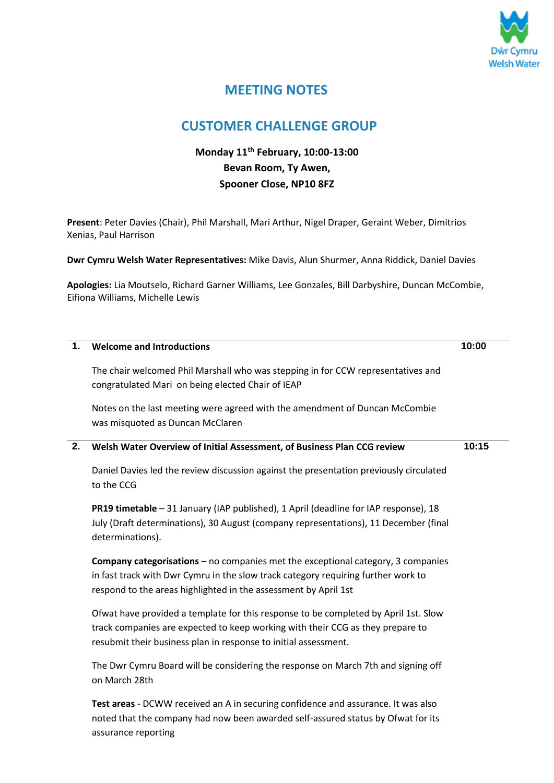

# **MEETING NOTES**

## **CUSTOMER CHALLENGE GROUP**

### **Monday 11th February, 10:00-13:00 Bevan Room, Ty Awen, Spooner Close, NP10 8FZ**

**Present**: Peter Davies (Chair), Phil Marshall, Mari Arthur, Nigel Draper, Geraint Weber, Dimitrios Xenias, Paul Harrison

**Dwr Cymru Welsh Water Representatives:** Mike Davis, Alun Shurmer, Anna Riddick, Daniel Davies

**Apologies:** Lia Moutselo, Richard Garner Williams, Lee Gonzales, Bill Darbyshire, Duncan McCombie, Eifiona Williams, Michelle Lewis

| 1. | <b>Welcome and Introductions</b>                                                                                                                                                                                                                | 10:00 |
|----|-------------------------------------------------------------------------------------------------------------------------------------------------------------------------------------------------------------------------------------------------|-------|
|    | The chair welcomed Phil Marshall who was stepping in for CCW representatives and<br>congratulated Mari on being elected Chair of IEAP                                                                                                           |       |
|    | Notes on the last meeting were agreed with the amendment of Duncan McCombie<br>was misquoted as Duncan McClaren                                                                                                                                 |       |
| 2. | Welsh Water Overview of Initial Assessment, of Business Plan CCG review                                                                                                                                                                         | 10:15 |
|    | Daniel Davies led the review discussion against the presentation previously circulated<br>to the CCG                                                                                                                                            |       |
|    | PR19 timetable - 31 January (IAP published), 1 April (deadline for IAP response), 18<br>July (Draft determinations), 30 August (company representations), 11 December (final<br>determinations).                                                |       |
|    | <b>Company categorisations - no companies met the exceptional category, 3 companies</b><br>in fast track with Dwr Cymru in the slow track category requiring further work to<br>respond to the areas highlighted in the assessment by April 1st |       |
|    | Ofwat have provided a template for this response to be completed by April 1st. Slow<br>track companies are expected to keep working with their CCG as they prepare to<br>resubmit their business plan in response to initial assessment.        |       |
|    | The Dwr Cymru Board will be considering the response on March 7th and signing off<br>on March 28th                                                                                                                                              |       |
|    | Test areas - DCWW received an A in securing confidence and assurance. It was also                                                                                                                                                               |       |

noted that the company had now been awarded self-assured status by Ofwat for its assurance reporting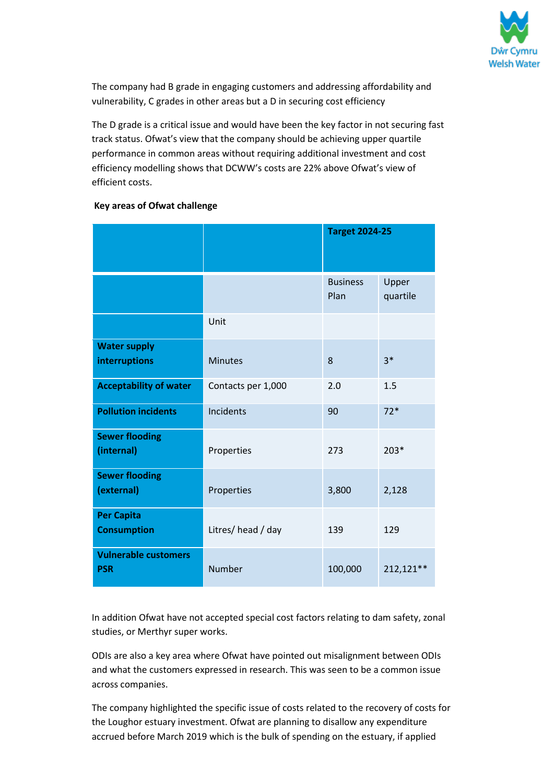

The company had B grade in engaging customers and addressing affordability and vulnerability, C grades in other areas but a D in securing cost efficiency

The D grade is a critical issue and would have been the key factor in not securing fast track status. Ofwat's view that the company should be achieving upper quartile performance in common areas without requiring additional investment and cost efficiency modelling shows that DCWW's costs are 22% above Ofwat's view of efficient costs.

|                                           |                    | <b>Target 2024-25</b>   |                   |
|-------------------------------------------|--------------------|-------------------------|-------------------|
|                                           |                    | <b>Business</b><br>Plan | Upper<br>quartile |
|                                           | Unit               |                         |                   |
| <b>Water supply</b><br>interruptions      | <b>Minutes</b>     | 8                       | $3*$              |
| <b>Acceptability of water</b>             | Contacts per 1,000 | 2.0                     | 1.5               |
| <b>Pollution incidents</b>                | Incidents          | 90                      | $72*$             |
| <b>Sewer flooding</b><br>(internal)       | Properties         | 273                     | $203*$            |
| <b>Sewer flooding</b><br>(external)       | Properties         | 3,800                   | 2,128             |
| <b>Per Capita</b><br><b>Consumption</b>   | Litres/head / day  | 139                     | 129               |
| <b>Vulnerable customers</b><br><b>PSR</b> | Number             | 100,000                 | 212,121**         |

### **Key areas of Ofwat challenge**

In addition Ofwat have not accepted special cost factors relating to dam safety, zonal studies, or Merthyr super works.

ODIs are also a key area where Ofwat have pointed out misalignment between ODIs and what the customers expressed in research. This was seen to be a common issue across companies.

The company highlighted the specific issue of costs related to the recovery of costs for the Loughor estuary investment. Ofwat are planning to disallow any expenditure accrued before March 2019 which is the bulk of spending on the estuary, if applied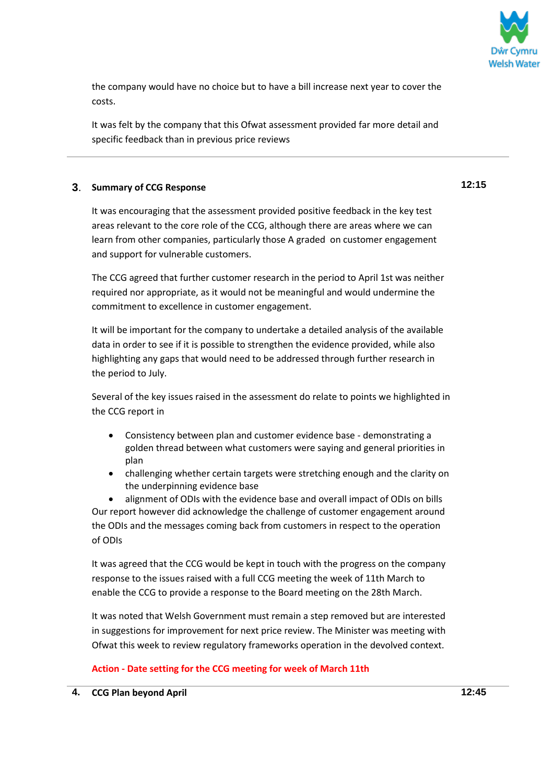

the company would have no choice but to have a bill increase next year to cover the costs.

It was felt by the company that this Ofwat assessment provided far more detail and specific feedback than in previous price reviews

#### **3**. **Summary of CCG Response**

It was encouraging that the assessment provided positive feedback in the key test areas relevant to the core role of the CCG, although there are areas where we can learn from other companies, particularly those A graded on customer engagement and support for vulnerable customers.

The CCG agreed that further customer research in the period to April 1st was neither required nor appropriate, as it would not be meaningful and would undermine the commitment to excellence in customer engagement.

It will be important for the company to undertake a detailed analysis of the available data in order to see if it is possible to strengthen the evidence provided, while also highlighting any gaps that would need to be addressed through further research in the period to July.

Several of the key issues raised in the assessment do relate to points we highlighted in the CCG report in

- Consistency between plan and customer evidence base demonstrating a golden thread between what customers were saying and general priorities in plan
- challenging whether certain targets were stretching enough and the clarity on the underpinning evidence base

 alignment of ODIs with the evidence base and overall impact of ODIs on bills Our report however did acknowledge the challenge of customer engagement around the ODIs and the messages coming back from customers in respect to the operation of ODIs

It was agreed that the CCG would be kept in touch with the progress on the company response to the issues raised with a full CCG meeting the week of 11th March to enable the CCG to provide a response to the Board meeting on the 28th March.

It was noted that Welsh Government must remain a step removed but are interested in suggestions for improvement for next price review. The Minister was meeting with Ofwat this week to review regulatory frameworks operation in the devolved context.

#### **Action - Date setting for the CCG meeting for week of March 11th**

**12:15**